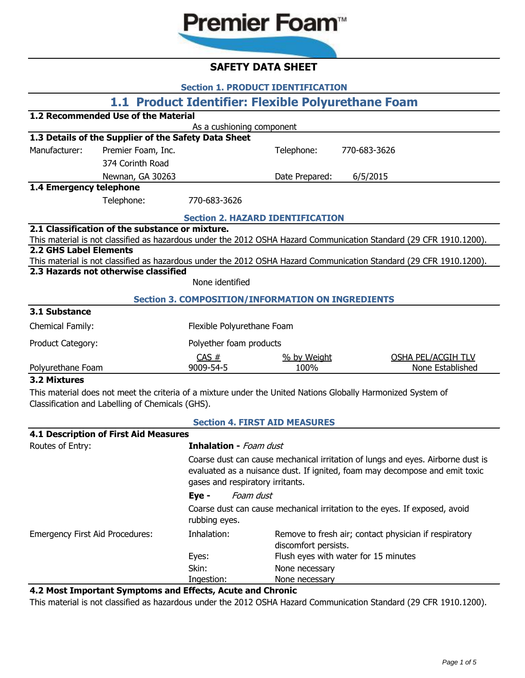# **Premier Foam**<sup>™</sup>

# **SAFETY DATA SHEET**

| <b>Section 1. PRODUCT IDENTIFICATION</b>                                                                     |                                                      |                                         |                |                                                                                                                    |  |  |  |
|--------------------------------------------------------------------------------------------------------------|------------------------------------------------------|-----------------------------------------|----------------|--------------------------------------------------------------------------------------------------------------------|--|--|--|
| 1.1 Product Identifier: Flexible Polyurethane Foam                                                           |                                                      |                                         |                |                                                                                                                    |  |  |  |
| 1.2 Recommended Use of the Material                                                                          |                                                      |                                         |                |                                                                                                                    |  |  |  |
| As a cushioning component                                                                                    |                                                      |                                         |                |                                                                                                                    |  |  |  |
|                                                                                                              | 1.3 Details of the Supplier of the Safety Data Sheet |                                         |                |                                                                                                                    |  |  |  |
| Manufacturer:                                                                                                | Premier Foam, Inc.                                   |                                         | Telephone:     | 770-683-3626                                                                                                       |  |  |  |
|                                                                                                              | 374 Corinth Road                                     |                                         |                |                                                                                                                    |  |  |  |
|                                                                                                              | Newnan, GA 30263                                     |                                         | Date Prepared: | 6/5/2015                                                                                                           |  |  |  |
| 1.4 Emergency telephone                                                                                      |                                                      |                                         |                |                                                                                                                    |  |  |  |
|                                                                                                              | Telephone:                                           | 770-683-3626                            |                |                                                                                                                    |  |  |  |
|                                                                                                              |                                                      | <b>Section 2. HAZARD IDENTIFICATION</b> |                |                                                                                                                    |  |  |  |
|                                                                                                              | 2.1 Classification of the substance or mixture.      |                                         |                |                                                                                                                    |  |  |  |
|                                                                                                              |                                                      |                                         |                | This material is not classified as hazardous under the 2012 OSHA Hazard Communication Standard (29 CFR 1910.1200). |  |  |  |
| <b>2.2 GHS Label Elements</b>                                                                                |                                                      |                                         |                | This material is not classified as hazardous under the 2012 OSHA Hazard Communication Standard (29 CFR 1910.1200). |  |  |  |
|                                                                                                              | 2.3 Hazards not otherwise classified                 |                                         |                |                                                                                                                    |  |  |  |
|                                                                                                              |                                                      | None identified                         |                |                                                                                                                    |  |  |  |
| <b>Section 3. COMPOSITION/INFORMATION ON INGREDIENTS</b>                                                     |                                                      |                                         |                |                                                                                                                    |  |  |  |
| 3.1 Substance                                                                                                |                                                      |                                         |                |                                                                                                                    |  |  |  |
| Chemical Family:                                                                                             |                                                      | Flexible Polyurethane Foam              |                |                                                                                                                    |  |  |  |
| Product Category:                                                                                            |                                                      | Polyether foam products                 |                |                                                                                                                    |  |  |  |
|                                                                                                              |                                                      | CAS #                                   | % by Weight    | OSHA PEL/ACGIH TLV                                                                                                 |  |  |  |
| Polyurethane Foam                                                                                            |                                                      | 9009-54-5                               | 100%           | None Established                                                                                                   |  |  |  |
| 3.2 Mixtures                                                                                                 |                                                      |                                         |                |                                                                                                                    |  |  |  |
| This material does not meet the criteria of a mixture under the United Nations Globally Harmonized System of |                                                      |                                         |                |                                                                                                                    |  |  |  |
| Classification and Labelling of Chemicals (GHS).                                                             |                                                      |                                         |                |                                                                                                                    |  |  |  |
| <b>Section 4. FIRST AID MEASURES</b>                                                                         |                                                      |                                         |                |                                                                                                                    |  |  |  |

| 4.1 Description of First Aid Measures                                                                                                                                                              |                                                                               |  |  |
|----------------------------------------------------------------------------------------------------------------------------------------------------------------------------------------------------|-------------------------------------------------------------------------------|--|--|
| <b>Inhalation</b> - Foam dust                                                                                                                                                                      |                                                                               |  |  |
| Coarse dust can cause mechanical irritation of lungs and eyes. Airborne dust is<br>evaluated as a nuisance dust. If ignited, foam may decompose and emit toxic<br>gases and respiratory irritants. |                                                                               |  |  |
| Eye -                                                                                                                                                                                              |                                                                               |  |  |
| rubbing eyes.                                                                                                                                                                                      | Coarse dust can cause mechanical irritation to the eyes. If exposed, avoid    |  |  |
| Inhalation:                                                                                                                                                                                        | Remove to fresh air; contact physician if respiratory<br>discomfort persists. |  |  |
| Eyes:                                                                                                                                                                                              | Flush eyes with water for 15 minutes                                          |  |  |
| Skin:                                                                                                                                                                                              | None necessary                                                                |  |  |
| Ingestion:                                                                                                                                                                                         | None necessary                                                                |  |  |
|                                                                                                                                                                                                    | Foam dust<br>1.3 Meet Imperiant Cumptame and Effects. Asute and Chronic       |  |  |

#### **4.2 Most Important Symptoms and Effects, Acute and Chronic**

This material is not classified as hazardous under the 2012 OSHA Hazard Communication Standard (29 CFR 1910.1200).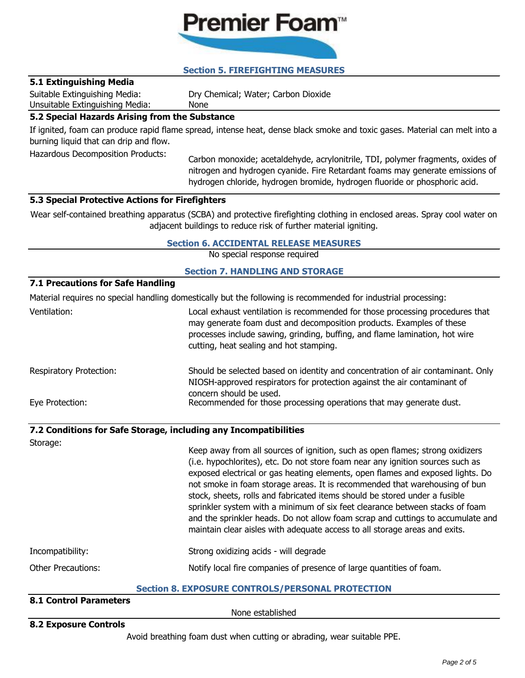# Premier Foam<sup>™</sup>

# **Section 5. FIREFIGHTING MEASURES**

# **5.1 Extinguishing Media**

Suitable Extinguishing Media:

Dry Chemical; Water; Carbon Dioxide

Unsuitable Extinguishing Media: None

# **5.2 Special Hazards Arising from the Substance**

If ignited, foam can produce rapid flame spread, intense heat, dense black smoke and toxic gases. Material can melt into a burning liquid that can drip and flow.

Hazardous Decomposition Products:

Carbon monoxide; acetaldehyde, acrylonitrile, TDI, polymer fragments, oxides of nitrogen and hydrogen cyanide. Fire Retardant foams may generate emissions of hydrogen chloride, hydrogen bromide, hydrogen fluoride or phosphoric acid.

# **5.3 Special Protective Actions for Firefighters**

Wear self-contained breathing apparatus (SCBA) and protective firefighting clothing in enclosed areas. Spray cool water on adjacent buildings to reduce risk of further material igniting.

# **Section 6. ACCIDENTAL RELEASE MEASURES**

No special response required

### **Section 7. HANDLING AND STORAGE**

### **7.1 Precautions for Safe Handling**

Material requires no special handling domestically but the following is recommended for industrial processing:

Ventilation: Local exhaust ventilation is recommended for those processing procedures that may generate foam dust and decomposition products. Examples of these processes include sawing, grinding, buffing, and flame lamination, hot wire cutting, heat sealing and hot stamping.

Respiratory Protection: Eye Protection: Should be selected based on identity and concentration of air contaminant. Only NIOSH-approved respirators for protection against the air contaminant of concern should be used. Recommended for those processing operations that may generate dust.

# **7.2 Conditions for Safe Storage, including any Incompatibilities**

Incompatibility: Strong oxidizing acids - will degrade Other Precautions: Storage: Keep away from all sources of ignition, such as open flames; strong oxidizers (i.e. hypochlorites), etc. Do not store foam near any ignition sources such as exposed electrical or gas heating elements, open flames and exposed lights. Do not smoke in foam storage areas. It is recommended that warehousing of bun stock, sheets, rolls and fabricated items should be stored under a fusible sprinkler system with a minimum of six feet clearance between stacks of foam and the sprinkler heads. Do not allow foam scrap and cuttings to accumulate and maintain clear aisles with adequate access to all storage areas and exits. Notify local fire companies of presence of large quantities of foam.

# **Section 8. EXPOSURE CONTROLS/PERSONAL PROTECTION**

# **8.1 Control Parameters**

None established

# **8.2 Exposure Controls**

Avoid breathing foam dust when cutting or abrading, wear suitable PPE.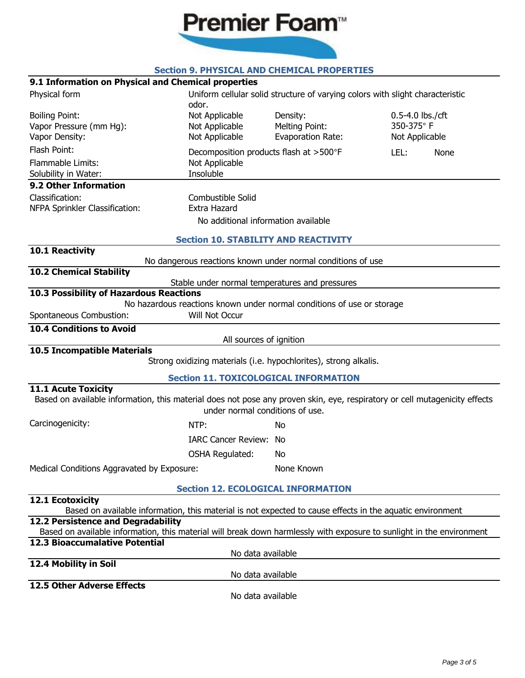

# **Section 9. PHYSICAL AND CHEMICAL PROPERTIES**

### **9.1 Information on Physical and Chemical properties**

| 9.1 Information on Physical and Chemical properties                                                                                                         |                                                                        |                          |                                                                               |
|-------------------------------------------------------------------------------------------------------------------------------------------------------------|------------------------------------------------------------------------|--------------------------|-------------------------------------------------------------------------------|
| Physical form                                                                                                                                               | odor.                                                                  |                          | Uniform cellular solid structure of varying colors with slight characteristic |
| <b>Boiling Point:</b>                                                                                                                                       | Not Applicable                                                         | Density:                 | 0.5-4.0 lbs./cft                                                              |
| Vapor Pressure (mm Hg):                                                                                                                                     | Not Applicable                                                         | Melting Point:           | 350-375°F                                                                     |
| Vapor Density:                                                                                                                                              | Not Applicable                                                         | <b>Evaporation Rate:</b> | Not Applicable                                                                |
| Flash Point:                                                                                                                                                | Decomposition products flash at >500°F                                 |                          | LEL:<br>None                                                                  |
| Flammable Limits:                                                                                                                                           | Not Applicable                                                         |                          |                                                                               |
| Solubility in Water:                                                                                                                                        | Insoluble                                                              |                          |                                                                               |
| 9.2 Other Information                                                                                                                                       |                                                                        |                          |                                                                               |
| Classification:<br>NFPA Sprinkler Classification:                                                                                                           | Combustible Solid<br>Extra Hazard                                      |                          |                                                                               |
|                                                                                                                                                             | No additional information available                                    |                          |                                                                               |
|                                                                                                                                                             | <b>Section 10. STABILITY AND REACTIVITY</b>                            |                          |                                                                               |
| 10.1 Reactivity                                                                                                                                             |                                                                        |                          |                                                                               |
|                                                                                                                                                             | No dangerous reactions known under normal conditions of use            |                          |                                                                               |
| <b>10.2 Chemical Stability</b>                                                                                                                              | Stable under normal temperatures and pressures                         |                          |                                                                               |
| 10.3 Possibility of Hazardous Reactions                                                                                                                     |                                                                        |                          |                                                                               |
|                                                                                                                                                             | No hazardous reactions known under normal conditions of use or storage |                          |                                                                               |
| Spontaneous Combustion:                                                                                                                                     | Will Not Occur                                                         |                          |                                                                               |
| <b>10.4 Conditions to Avoid</b>                                                                                                                             | All sources of ignition                                                |                          |                                                                               |
| <b>10.5 Incompatible Materials</b>                                                                                                                          |                                                                        |                          |                                                                               |
|                                                                                                                                                             | Strong oxidizing materials (i.e. hypochlorites), strong alkalis.       |                          |                                                                               |
|                                                                                                                                                             | <b>Section 11. TOXICOLOGICAL INFORMATION</b>                           |                          |                                                                               |
| <b>11.1 Acute Toxicity</b><br>Based on available information, this material does not pose any proven skin, eye, respiratory or cell mutagenicity effects    |                                                                        |                          |                                                                               |
|                                                                                                                                                             | under normal conditions of use.                                        |                          |                                                                               |
| Carcinogenicity:                                                                                                                                            | NTP:                                                                   | No                       |                                                                               |
|                                                                                                                                                             | <b>IARC Cancer Review: No</b>                                          |                          |                                                                               |
|                                                                                                                                                             | <b>OSHA Regulated:</b>                                                 | No                       |                                                                               |
| Medical Conditions Aggravated by Exposure:                                                                                                                  |                                                                        | None Known               |                                                                               |
|                                                                                                                                                             | <b>Section 12. ECOLOGICAL INFORMATION</b>                              |                          |                                                                               |
| 12.1 Ecotoxicity                                                                                                                                            |                                                                        |                          |                                                                               |
| Based on available information, this material is not expected to cause effects in the aquatic environment                                                   |                                                                        |                          |                                                                               |
| 12.2 Persistence and Degradability<br>Based on available information, this material will break down harmlessly with exposure to sunlight in the environment |                                                                        |                          |                                                                               |
| <b>12.3 Bioaccumalative Potential</b>                                                                                                                       |                                                                        |                          |                                                                               |
|                                                                                                                                                             | No data available                                                      |                          |                                                                               |
| 12.4 Mobility in Soil                                                                                                                                       | No data available                                                      |                          |                                                                               |
| <b>12.5 Other Adverse Effects</b>                                                                                                                           |                                                                        |                          |                                                                               |
|                                                                                                                                                             | No data available                                                      |                          |                                                                               |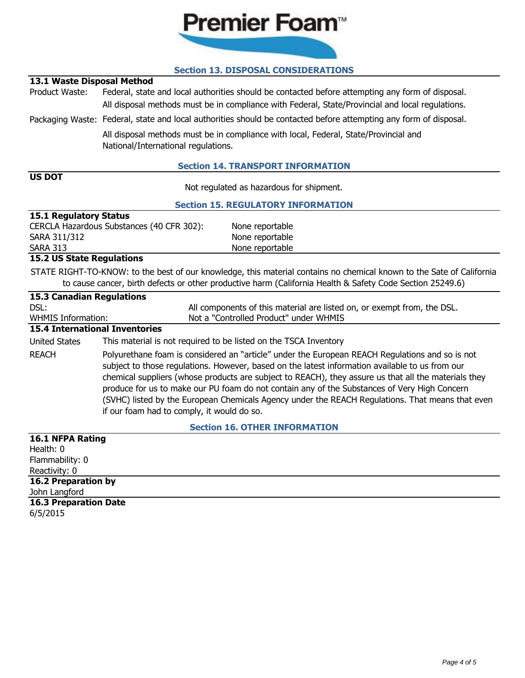

# **Section 13. DISPOSAL CONSIDERATIONS**

# **13.1 Waste Disposal Method**

Product Waste: Federal, state and local authorities should be contacted before attempting any form of disposal. All disposal methods must be in compliance with Federal, State/Provincial and local regulations.

Packaging Waste: Federal, state and local authorities should be contacted before attempting any form of disposal.

All disposal methods must be in compliance with local, Federal, State/Provincial and National/International regulations.

### **Section 14. TRANSPORT INFORMATION**

# **US DOT**

Not regulated as hazardous for shipment.

### **Section 15. REGULATORY INFORMATION**

| <b>15.1 Regulatory Status</b>             |                 |  |  |  |
|-------------------------------------------|-----------------|--|--|--|
| CERCLA Hazardous Substances (40 CFR 302): | None reportable |  |  |  |
| SARA 311/312                              | None reportable |  |  |  |
| <b>SARA 313</b>                           | None reportable |  |  |  |

### **15.2 US State Regulations**

STATE RIGHT-TO-KNOW: to the best of our knowledge, this material contains no chemical known to the Sate of California to cause cancer, birth defects or other productive harm (California Health & Safety Code Section 25249.6)

| <b>15.3 Canadian Regulations</b>      |                                                                                                                                                                                                                                                                                                                                                                                                                                                                                                                                                              |  |  |
|---------------------------------------|--------------------------------------------------------------------------------------------------------------------------------------------------------------------------------------------------------------------------------------------------------------------------------------------------------------------------------------------------------------------------------------------------------------------------------------------------------------------------------------------------------------------------------------------------------------|--|--|
| DSL:                                  | All components of this material are listed on, or exempt from, the DSL.                                                                                                                                                                                                                                                                                                                                                                                                                                                                                      |  |  |
| <b>WHMIS Information:</b>             | Not a "Controlled Product" under WHMIS                                                                                                                                                                                                                                                                                                                                                                                                                                                                                                                       |  |  |
| <b>15.4 International Inventories</b> |                                                                                                                                                                                                                                                                                                                                                                                                                                                                                                                                                              |  |  |
| <b>United States</b>                  | This material is not required to be listed on the TSCA Inventory                                                                                                                                                                                                                                                                                                                                                                                                                                                                                             |  |  |
| <b>REACH</b>                          | Polyurethane foam is considered an "article" under the European REACH Regulations and so is not<br>subject to those regulations. However, based on the latest information available to us from our<br>chemical suppliers (whose products are subject to REACH), they assure us that all the materials they<br>produce for us to make our PU foam do not contain any of the Substances of Very High Concern<br>(SVHC) listed by the European Chemicals Agency under the REACH Regulations. That means that even<br>if our foam had to comply, it would do so. |  |  |
|                                       | <b>Section 16. OTHER INFORMATION</b>                                                                                                                                                                                                                                                                                                                                                                                                                                                                                                                         |  |  |
| 16.1 NFPA Rating                      |                                                                                                                                                                                                                                                                                                                                                                                                                                                                                                                                                              |  |  |
| Health: 0                             |                                                                                                                                                                                                                                                                                                                                                                                                                                                                                                                                                              |  |  |
| Flammability: 0                       |                                                                                                                                                                                                                                                                                                                                                                                                                                                                                                                                                              |  |  |
| Reactivity: 0                         |                                                                                                                                                                                                                                                                                                                                                                                                                                                                                                                                                              |  |  |
| <b>16.2 Preparation by</b>            |                                                                                                                                                                                                                                                                                                                                                                                                                                                                                                                                                              |  |  |

**16.3 Preparation Date** John Langford

6/5/2015